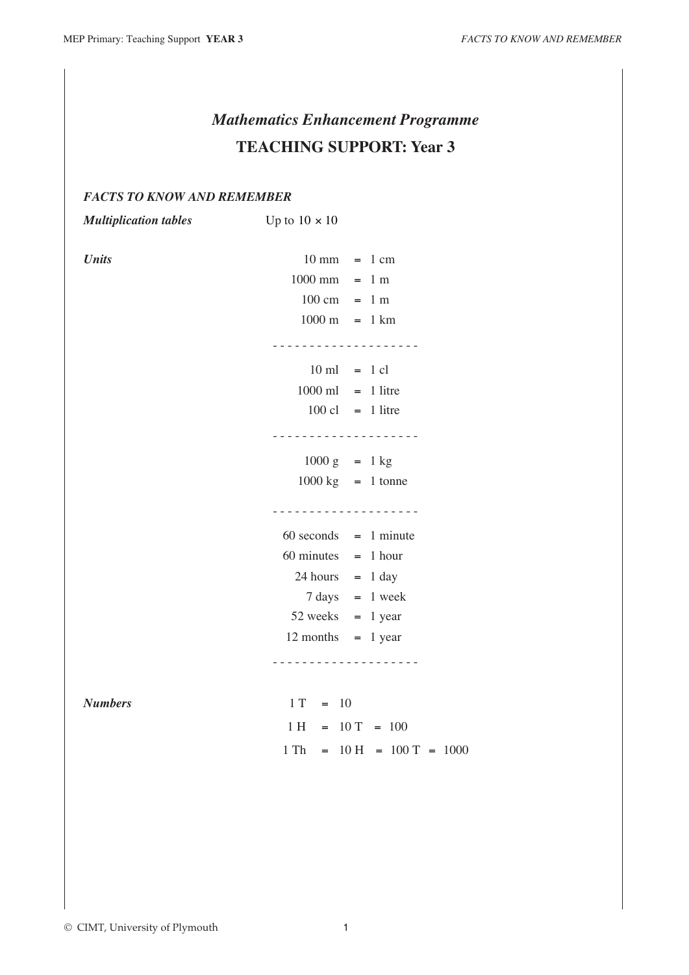## *Mathematics Enhancement Programme* **TEACHING SUPPORT: Year 3**

## *FACTS TO KNOW AND REMEMBER*

| <b>Multiplication tables</b> | Up to $10 \times 10$                                 |  |
|------------------------------|------------------------------------------------------|--|
|                              |                                                      |  |
| <b>Units</b>                 | $10 \text{ mm} = 1 \text{ cm}$                       |  |
|                              | $1000$ mm = 1 m                                      |  |
|                              | $100 \text{ cm} = 1 \text{ m}$                       |  |
|                              | $1000 \text{ m} = 1 \text{ km}$                      |  |
|                              | <u>.</u>                                             |  |
|                              | $10 \text{ ml} = 1 \text{ cl}$                       |  |
|                              | $1000$ ml = 1 litre                                  |  |
|                              | $100 \text{ cl} = 1$ litre                           |  |
|                              | <u>.</u>                                             |  |
|                              | $1000 g = 1 kg$                                      |  |
|                              | $1000 \text{ kg}$ = 1 tonne                          |  |
|                              | - - - - - - - - - - - - - - - - - -                  |  |
|                              | $60$ seconds = 1 minute                              |  |
|                              | $60 \text{ minutes} = 1 \text{ hour}$                |  |
|                              | $24 hours = 1 day$                                   |  |
|                              | $7 \text{ days} = 1 \text{ week}$                    |  |
|                              | $52$ weeks = 1 year                                  |  |
|                              | $12$ months = 1 year                                 |  |
|                              | .                                                    |  |
|                              |                                                      |  |
| <b>Numbers</b>               | $1 T = 10$                                           |  |
|                              | $1 H = 10 T = 100$                                   |  |
|                              | $1 \text{ Th} = 10 \text{ H} = 100 \text{ T} = 1000$ |  |
|                              |                                                      |  |
|                              |                                                      |  |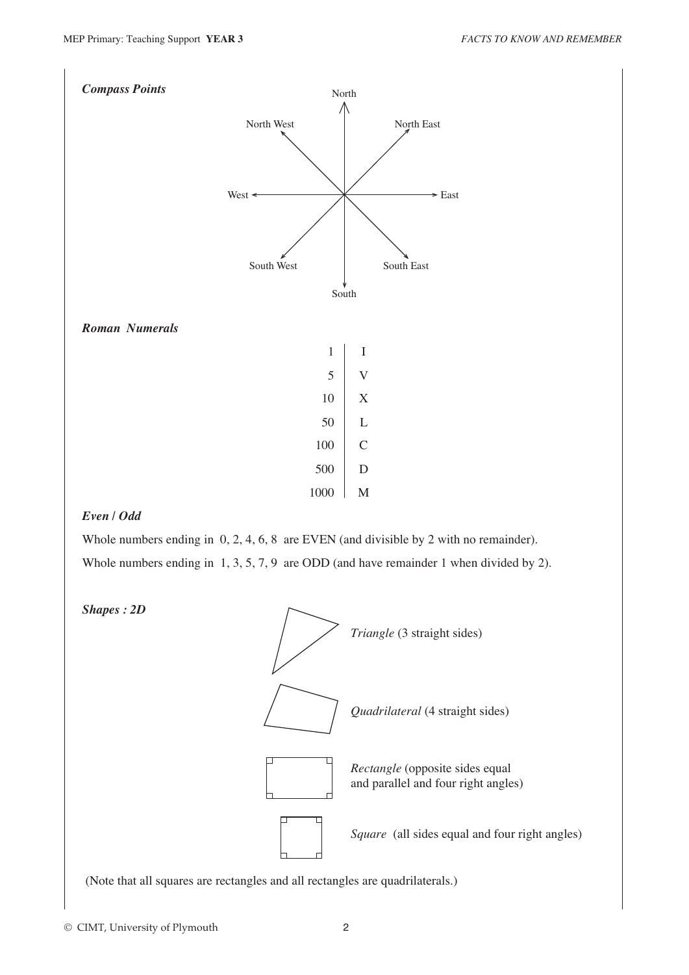

## *Even / Odd*

Whole numbers ending in  $0, 2, 4, 6, 8$  are EVEN (and divisible by 2 with no remainder). Whole numbers ending in 1, 3, 5, 7, 9 are ODD (and have remainder 1 when divided by 2).





(Note that all squares are rectangles and all rectangles are quadrilaterals.)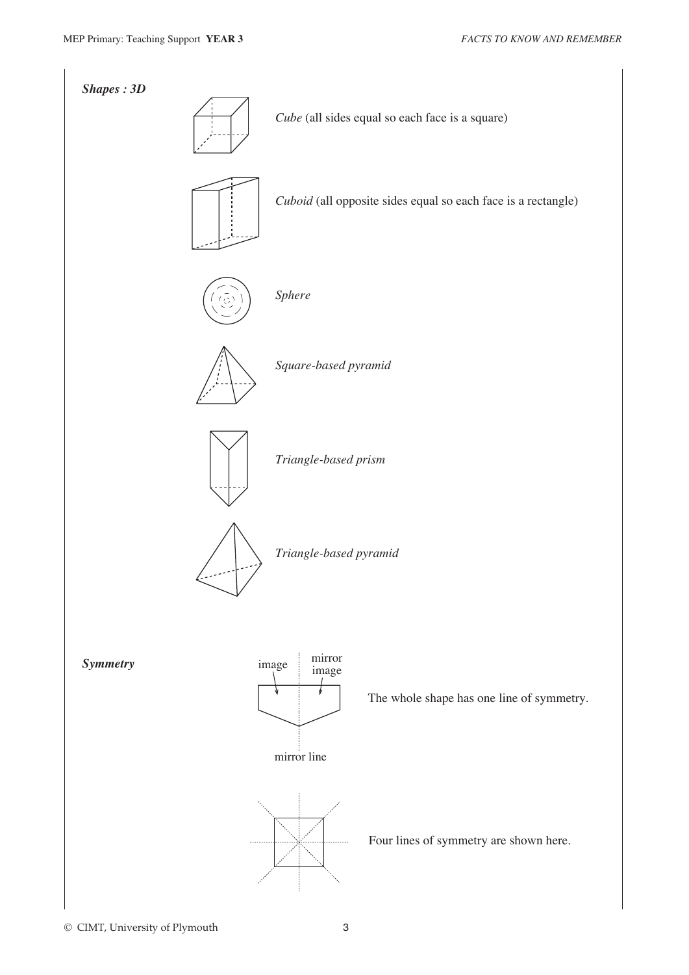